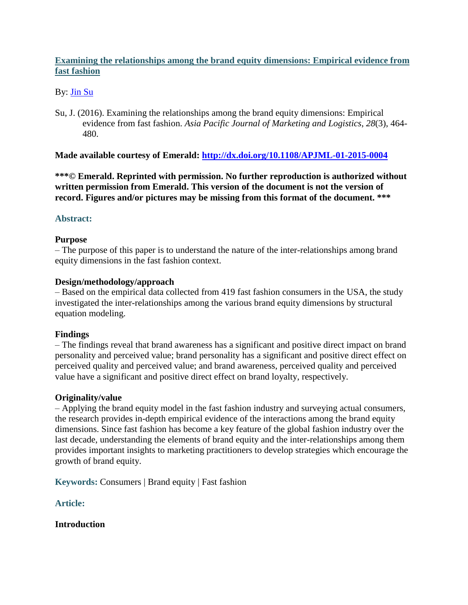# **Examining the relationships among the brand equity dimensions: Empirical evidence from fast fashion**

## By: [Jin Su](http://libres.uncg.edu/ir/uncg/clist.aspx?id=13707)

Su, J. (2016). Examining the relationships among the brand equity dimensions: Empirical evidence from fast fashion. *Asia Pacific Journal of Marketing and Logistics*, *28*(3), 464- 480.

## **Made available courtesy of Emerald:<http://dx.doi.org/10.1108/APJML-01-2015-0004>**

**\*\*\*© Emerald. Reprinted with permission. No further reproduction is authorized without written permission from Emerald. This version of the document is not the version of record. Figures and/or pictures may be missing from this format of the document. \*\*\***

## **Abstract:**

## **Purpose**

– The purpose of this paper is to understand the nature of the inter-relationships among brand equity dimensions in the fast fashion context.

## **Design/methodology/approach**

– Based on the empirical data collected from 419 fast fashion consumers in the USA, the study investigated the inter-relationships among the various brand equity dimensions by structural equation modeling.

## **Findings**

– The findings reveal that brand awareness has a significant and positive direct impact on brand personality and perceived value; brand personality has a significant and positive direct effect on perceived quality and perceived value; and brand awareness, perceived quality and perceived value have a significant and positive direct effect on brand loyalty, respectively.

## **Originality/value**

– Applying the brand equity model in the fast fashion industry and surveying actual consumers, the research provides in-depth empirical evidence of the interactions among the brand equity dimensions. Since fast fashion has become a key feature of the global fashion industry over the last decade, understanding the elements of brand equity and the inter-relationships among them provides important insights to marketing practitioners to develop strategies which encourage the growth of brand equity.

**Keywords:** Consumers | Brand equity | Fast fashion

## **Article:**

## **Introduction**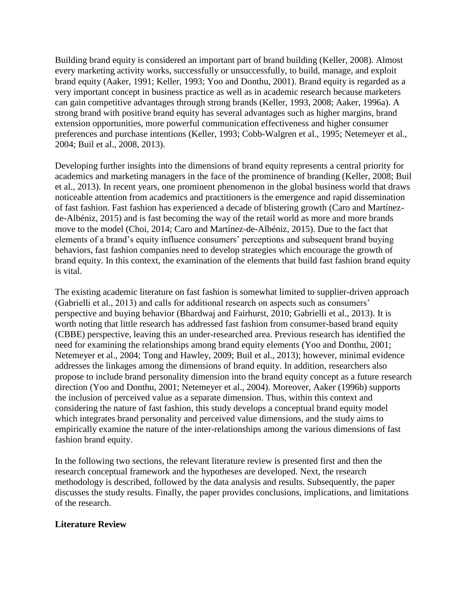Building brand equity is considered an important part of brand building (Keller, 2008). Almost every marketing activity works, successfully or unsuccessfully, to build, manage, and exploit brand equity (Aaker, 1991; Keller, 1993; Yoo and Donthu, 2001). Brand equity is regarded as a very important concept in business practice as well as in academic research because marketers can gain competitive advantages through strong brands (Keller, 1993, 2008; Aaker, 1996a). A strong brand with positive brand equity has several advantages such as higher margins, brand extension opportunities, more powerful communication effectiveness and higher consumer preferences and purchase intentions (Keller, 1993; Cobb-Walgren et al., 1995; Netemeyer et al., 2004; Buil et al., 2008, 2013).

Developing further insights into the dimensions of brand equity represents a central priority for academics and marketing managers in the face of the prominence of branding (Keller, 2008; Buil et al., 2013). In recent years, one prominent phenomenon in the global business world that draws noticeable attention from academics and practitioners is the emergence and rapid dissemination of fast fashion. Fast fashion has experienced a decade of blistering growth (Caro and Martínezde-Albéniz, 2015) and is fast becoming the way of the retail world as more and more brands move to the model (Choi, 2014; Caro and Martínez-de-Albéniz, 2015). Due to the fact that elements of a brand's equity influence consumers' perceptions and subsequent brand buying behaviors, fast fashion companies need to develop strategies which encourage the growth of brand equity. In this context, the examination of the elements that build fast fashion brand equity is vital.

The existing academic literature on fast fashion is somewhat limited to supplier-driven approach (Gabrielli et al., 2013) and calls for additional research on aspects such as consumers' perspective and buying behavior (Bhardwaj and Fairhurst, 2010; Gabrielli et al., 2013). It is worth noting that little research has addressed fast fashion from consumer-based brand equity (CBBE) perspective, leaving this an under-researched area. Previous research has identified the need for examining the relationships among brand equity elements (Yoo and Donthu, 2001; Netemeyer et al., 2004; Tong and Hawley, 2009; Buil et al., 2013); however, minimal evidence addresses the linkages among the dimensions of brand equity. In addition, researchers also propose to include brand personality dimension into the brand equity concept as a future research direction (Yoo and Donthu, 2001; Netemeyer et al., 2004). Moreover, Aaker (1996b) supports the inclusion of perceived value as a separate dimension. Thus, within this context and considering the nature of fast fashion, this study develops a conceptual brand equity model which integrates brand personality and perceived value dimensions, and the study aims to empirically examine the nature of the inter-relationships among the various dimensions of fast fashion brand equity.

In the following two sections, the relevant literature review is presented first and then the research conceptual framework and the hypotheses are developed. Next, the research methodology is described, followed by the data analysis and results. Subsequently, the paper discusses the study results. Finally, the paper provides conclusions, implications, and limitations of the research.

## **Literature Review**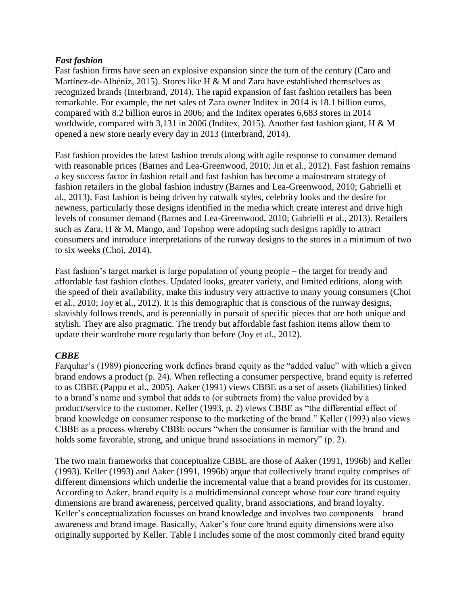## *Fast fashion*

Fast fashion firms have seen an explosive expansion since the turn of the century (Caro and Martínez-de-Albéniz, 2015). Stores like H & M and Zara have established themselves as recognized brands (Interbrand, 2014). The rapid expansion of fast fashion retailers has been remarkable. For example, the net sales of Zara owner Inditex in 2014 is 18.1 billion euros, compared with 8.2 billion euros in 2006; and the Inditex operates 6,683 stores in 2014 worldwide, compared with 3,131 in 2006 (Inditex, 2015). Another fast fashion giant, H & M opened a new store nearly every day in 2013 (Interbrand, 2014).

Fast fashion provides the latest fashion trends along with agile response to consumer demand with reasonable prices (Barnes and Lea-Greenwood, 2010; Jin et al., 2012). Fast fashion remains a key success factor in fashion retail and fast fashion has become a mainstream strategy of fashion retailers in the global fashion industry (Barnes and Lea-Greenwood, 2010; Gabrielli et al., 2013). Fast fashion is being driven by catwalk styles, celebrity looks and the desire for newness, particularly those designs identified in the media which create interest and drive high levels of consumer demand (Barnes and Lea-Greenwood, 2010; Gabrielli et al., 2013). Retailers such as Zara, H & M, Mango, and Topshop were adopting such designs rapidly to attract consumers and introduce interpretations of the runway designs to the stores in a minimum of two to six weeks (Choi, 2014).

Fast fashion's target market is large population of young people – the target for trendy and affordable fast fashion clothes. Updated looks, greater variety, and limited editions, along with the speed of their availability, make this industry very attractive to many young consumers (Choi et al., 2010; Joy et al., 2012). It is this demographic that is conscious of the runway designs, slavishly follows trends, and is perennially in pursuit of specific pieces that are both unique and stylish. They are also pragmatic. The trendy but affordable fast fashion items allow them to update their wardrobe more regularly than before (Joy et al., 2012).

# *CBBE*

Farquhar's (1989) pioneering work defines brand equity as the "added value" with which a given brand endows a product (p. 24). When reflecting a consumer perspective, brand equity is referred to as CBBE (Pappu et al., 2005). Aaker (1991) views CBBE as a set of assets (liabilities) linked to a brand's name and symbol that adds to (or subtracts from) the value provided by a product/service to the customer. Keller (1993, p. 2) views CBBE as "the differential effect of brand knowledge on consumer response to the marketing of the brand." Keller (1993) also views CBBE as a process whereby CBBE occurs "when the consumer is familiar with the brand and holds some favorable, strong, and unique brand associations in memory" (p. 2).

The two main frameworks that conceptualize CBBE are those of Aaker (1991, 1996b) and Keller (1993). Keller (1993) and Aaker (1991, 1996b) argue that collectively brand equity comprises of different dimensions which underlie the incremental value that a brand provides for its customer. According to Aaker, brand equity is a multidimensional concept whose four core brand equity dimensions are brand awareness, perceived quality, brand associations, and brand loyalty. Keller's conceptualization focusses on brand knowledge and involves two components – brand awareness and brand image. Basically, Aaker's four core brand equity dimensions were also originally supported by Keller. Table I includes some of the most commonly cited brand equity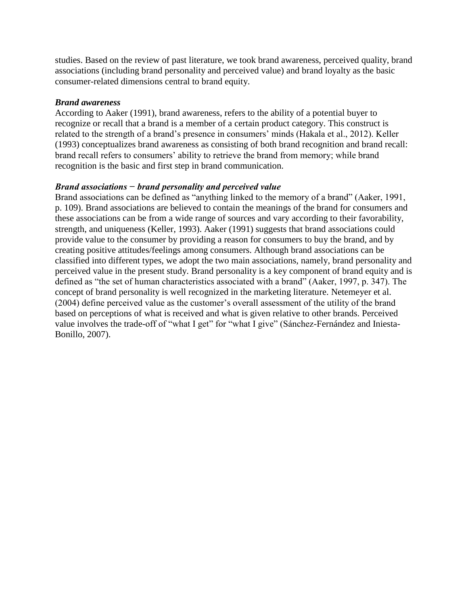studies. Based on the review of past literature, we took brand awareness, perceived quality, brand associations (including brand personality and perceived value) and brand loyalty as the basic consumer-related dimensions central to brand equity.

#### *Brand awareness*

According to Aaker (1991), brand awareness, refers to the ability of a potential buyer to recognize or recall that a brand is a member of a certain product category. This construct is related to the strength of a brand's presence in consumers' minds (Hakala et al., 2012). Keller (1993) conceptualizes brand awareness as consisting of both brand recognition and brand recall: brand recall refers to consumers' ability to retrieve the brand from memory; while brand recognition is the basic and first step in brand communication.

## *Brand associations − brand personality and perceived value*

Brand associations can be defined as "anything linked to the memory of a brand" (Aaker, 1991, p. 109). Brand associations are believed to contain the meanings of the brand for consumers and these associations can be from a wide range of sources and vary according to their favorability, strength, and uniqueness (Keller, 1993). Aaker (1991) suggests that brand associations could provide value to the consumer by providing a reason for consumers to buy the brand, and by creating positive attitudes/feelings among consumers. Although brand associations can be classified into different types, we adopt the two main associations, namely, brand personality and perceived value in the present study. Brand personality is a key component of brand equity and is defined as "the set of human characteristics associated with a brand" (Aaker, 1997, p. 347). The concept of brand personality is well recognized in the marketing literature. Netemeyer et al. (2004) define perceived value as the customer's overall assessment of the utility of the brand based on perceptions of what is received and what is given relative to other brands. Perceived value involves the trade-off of "what I get" for "what I give" (Sánchez-Fernández and Iniesta-Bonillo, 2007).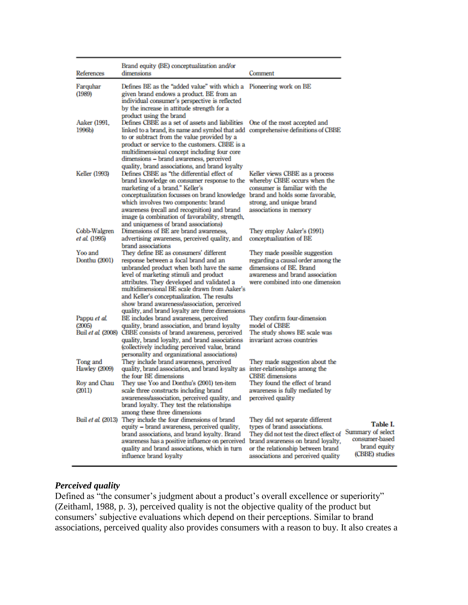| References                       | Brand equity (BE) conceptualization and/or<br>dimensions                                                                                                                                                                                                                                                                                                                                                              | Comment                                                                                                                                                                                                                                          |
|----------------------------------|-----------------------------------------------------------------------------------------------------------------------------------------------------------------------------------------------------------------------------------------------------------------------------------------------------------------------------------------------------------------------------------------------------------------------|--------------------------------------------------------------------------------------------------------------------------------------------------------------------------------------------------------------------------------------------------|
| Farquhar<br>(1989)               | Defines BE as the "added value" with which a Pioneering work on BE<br>given brand endows a product. BE from an<br>individual consumer's perspective is reflected<br>by the increase in attitude strength for a<br>product using the brand                                                                                                                                                                             |                                                                                                                                                                                                                                                  |
| Aaker (1991,<br>1996b)           | Defines CBBE as a set of assets and liabilities<br>linked to a brand, its name and symbol that add comprehensive definitions of CBBE<br>to or subtract from the value provided by a<br>product or service to the customers. CBBE is a<br>multidimensional concept including four core<br>dimensions - brand awareness, perceived<br>quality, brand associations, and brand loyalty                                    | One of the most accepted and                                                                                                                                                                                                                     |
| Keller (1993)                    | Defines CBBE as "the differential effect of<br>brand knowledge on consumer response to the<br>marketing of a brand." Keller's<br>conceptualization focusses on brand knowledge<br>which involves two components: brand<br>awareness (recall and recognition) and brand<br>image (a combination of favorability, strength,<br>and uniqueness of brand associations)                                                    | Keller views CBBE as a process<br>whereby CBBE occurs when the<br>consumer is familiar with the<br>brand and holds some favorable,<br>strong, and unique brand<br>associations in memory                                                         |
| Cobb-Walgren<br>et al. (1995)    | Dimensions of BE are brand awareness,<br>advertising awareness, perceived quality, and<br>brand associations                                                                                                                                                                                                                                                                                                          | They employ Aaker's (1991)<br>conceptualization of BE                                                                                                                                                                                            |
| Yoo and<br>Donthu (2001)         | They define BE as consumers' different<br>response between a focal brand and an<br>unbranded product when both have the same<br>level of marketing stimuli and product<br>attributes. They developed and validated a<br>multidimensional BE scale drawn from Aaker's<br>and Keller's conceptualization. The results<br>show brand awareness/association, perceived<br>quality, and brand loyalty are three dimensions | They made possible suggestion<br>regarding a causal order among the<br>dimensions of BE. Brand<br>awareness and brand association<br>were combined into one dimension                                                                            |
| Pappu et al.<br>(2005)           | BE includes brand awareness, perceived<br>quality, brand association, and brand loyalty<br>Buil et al. (2008) CBBE consists of brand awareness, perceived<br>quality, brand loyalty, and brand associations<br>(collectively including perceived value, brand<br>personality and organizational associations)                                                                                                         | They confirm four-dimension<br>model of CBBE<br>The study shows BE scale was<br>invariant across countries                                                                                                                                       |
| Tong and<br><b>Hawley</b> (2009) | They include brand awareness, perceived<br>quality, brand association, and brand loyalty as<br>the four BE dimensions                                                                                                                                                                                                                                                                                                 | They made suggestion about the<br>inter-relationships among the<br><b>CBBE</b> dimensions                                                                                                                                                        |
| Roy and Chau<br>(2011)           | They use Yoo and Donthu's (2001) ten-item<br>scale three constructs including brand<br>awareness/association, perceived quality, and<br>brand loyalty. They test the relationships<br>among these three dimensions                                                                                                                                                                                                    | They found the effect of brand<br>awareness is fully mediated by<br>perceived quality                                                                                                                                                            |
|                                  | Buil et al. (2013) They include the four dimensions of brand<br>equity - brand awareness, perceived quality,<br>brand associations, and brand loyalty. Brand<br>awareness has a positive influence on perceived<br>quality and brand associations, which in turn<br>influence brand loyalty                                                                                                                           | They did not separate different<br>types of brand associations.<br>Summ<br>They did not test the direct effect of<br>con<br>brand awareness on brand loyalty,<br>or the relationship between brand<br>(CI)<br>associations and perceived quality |

#### Table I. ary of select sumer-based brand equity **BBE)** studies

# *Perceived quality*

Defined as "the consumer's judgment about a product's overall excellence or superiority" (Zeithaml, 1988, p. 3), perceived quality is not the objective quality of the product but consumers' subjective evaluations which depend on their perceptions. Similar to brand associations, perceived quality also provides consumers with a reason to buy. It also creates a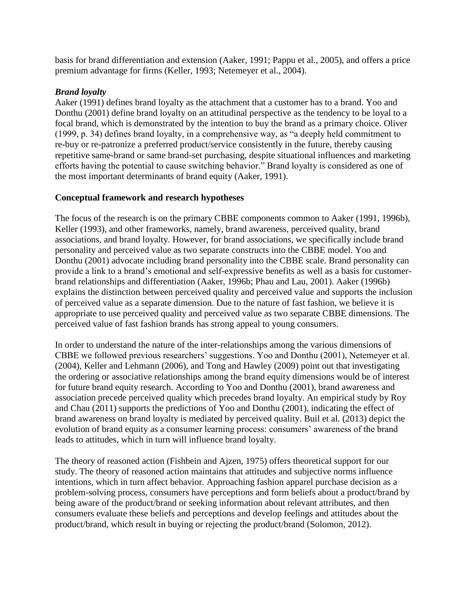basis for brand differentiation and extension (Aaker, 1991; Pappu et al., 2005), and offers a price premium advantage for firms (Keller, 1993; Netemeyer et al., 2004).

## *Brand loyalty*

Aaker (1991) defines brand loyalty as the attachment that a customer has to a brand. Yoo and Donthu (2001) define brand loyalty on an attitudinal perspective as the tendency to be loyal to a focal brand, which is demonstrated by the intention to buy the brand as a primary choice. Oliver (1999, p. 34) defines brand loyalty, in a comprehensive way, as "a deeply held commitment to re-buy or re-patronize a preferred product/service consistently in the future, thereby causing repetitive same-brand or same brand-set purchasing, despite situational influences and marketing efforts having the potential to cause switching behavior." Brand loyalty is considered as one of the most important determinants of brand equity (Aaker, 1991).

# **Conceptual framework and research hypotheses**

The focus of the research is on the primary CBBE components common to Aaker (1991, 1996b), Keller (1993), and other frameworks, namely, brand awareness, perceived quality, brand associations, and brand loyalty. However, for brand associations, we specifically include brand personality and perceived value as two separate constructs into the CBBE model. Yoo and Donthu (2001) advocate including brand personality into the CBBE scale. Brand personality can provide a link to a brand's emotional and self-expressive benefits as well as a basis for customerbrand relationships and differentiation (Aaker, 1996b; Phau and Lau, 2001). Aaker (1996b) explains the distinction between perceived quality and perceived value and supports the inclusion of perceived value as a separate dimension. Due to the nature of fast fashion, we believe it is appropriate to use perceived quality and perceived value as two separate CBBE dimensions. The perceived value of fast fashion brands has strong appeal to young consumers.

In order to understand the nature of the inter-relationships among the various dimensions of CBBE we followed previous researchers' suggestions. Yoo and Donthu (2001), Netemeyer et al. (2004), Keller and Lehmann (2006), and Tong and Hawley (2009) point out that investigating the ordering or associative relationships among the brand equity dimensions would be of interest for future brand equity research. According to Yoo and Donthu (2001), brand awareness and association precede perceived quality which precedes brand loyalty. An empirical study by Roy and Chau (2011) supports the predictions of Yoo and Donthu (2001), indicating the effect of brand awareness on brand loyalty is mediated by perceived quality. Buil et al. (2013) depict the evolution of brand equity as a consumer learning process: consumers' awareness of the brand leads to attitudes, which in turn will influence brand loyalty.

The theory of reasoned action (Fishbein and Ajzen, 1975) offers theoretical support for our study. The theory of reasoned action maintains that attitudes and subjective norms influence intentions, which in turn affect behavior. Approaching fashion apparel purchase decision as a problem-solving process, consumers have perceptions and form beliefs about a product/brand by being aware of the product/brand or seeking information about relevant attributes, and then consumers evaluate these beliefs and perceptions and develop feelings and attitudes about the product/brand, which result in buying or rejecting the product/brand (Solomon, 2012).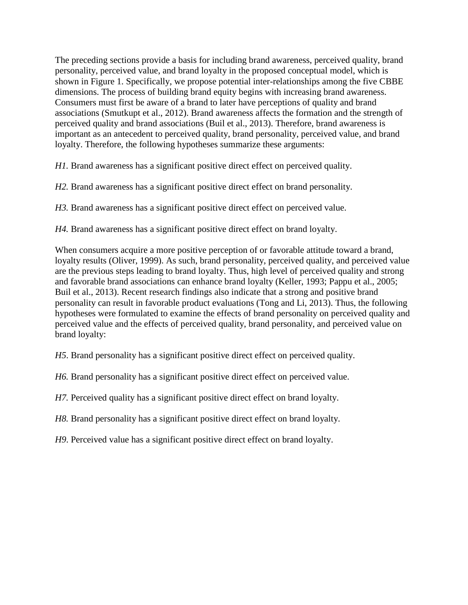The preceding sections provide a basis for including brand awareness, perceived quality, brand personality, perceived value, and brand loyalty in the proposed conceptual model, which is shown in Figure 1. Specifically, we propose potential inter-relationships among the five CBBE dimensions. The process of building brand equity begins with increasing brand awareness. Consumers must first be aware of a brand to later have perceptions of quality and brand associations (Smutkupt et al., 2012). Brand awareness affects the formation and the strength of perceived quality and brand associations (Buil et al., 2013). Therefore, brand awareness is important as an antecedent to perceived quality, brand personality, perceived value, and brand loyalty. Therefore, the following hypotheses summarize these arguments:

*H1.* Brand awareness has a significant positive direct effect on perceived quality.

*H2.* Brand awareness has a significant positive direct effect on brand personality.

*H3.* Brand awareness has a significant positive direct effect on perceived value.

*H4.* Brand awareness has a significant positive direct effect on brand loyalty.

When consumers acquire a more positive perception of or favorable attitude toward a brand, loyalty results (Oliver, 1999). As such, brand personality, perceived quality, and perceived value are the previous steps leading to brand loyalty. Thus, high level of perceived quality and strong and favorable brand associations can enhance brand loyalty (Keller, 1993; Pappu et al., 2005; Buil et al., 2013). Recent research findings also indicate that a strong and positive brand personality can result in favorable product evaluations (Tong and Li, 2013). Thus, the following hypotheses were formulated to examine the effects of brand personality on perceived quality and perceived value and the effects of perceived quality, brand personality, and perceived value on brand loyalty:

*H5*. Brand personality has a significant positive direct effect on perceived quality.

*H6.* Brand personality has a significant positive direct effect on perceived value.

*H7.* Perceived quality has a significant positive direct effect on brand loyalty.

*H8.* Brand personality has a significant positive direct effect on brand loyalty.

*H9*. Perceived value has a significant positive direct effect on brand loyalty.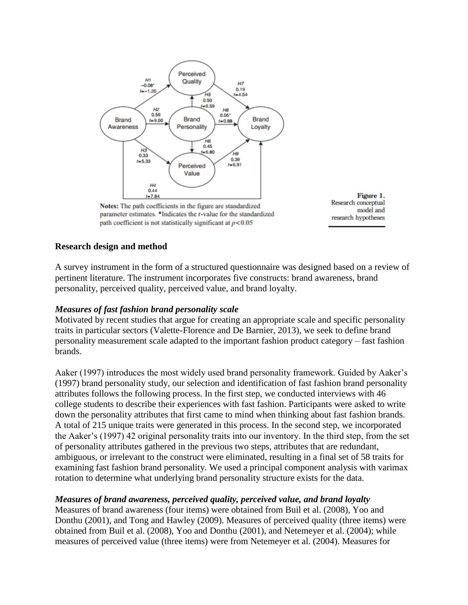

Notes: The path coefficients in the figure are standardized parameter estimates. \*Indicates the *t*-value for the standardized path coefficient is not statistically significant at  $p < 0.05$ 



## **Research design and method**

A survey instrument in the form of a structured questionnaire was designed based on a review of pertinent literature. The instrument incorporates five constructs: brand awareness, brand personality, perceived quality, perceived value, and brand loyalty.

#### *Measures of fast fashion brand personality scale*

Motivated by recent studies that argue for creating an appropriate scale and specific personality traits in particular sectors (Valette-Florence and De Barnier, 2013), we seek to define brand personality measurement scale adapted to the important fashion product category – fast fashion brands.

Aaker (1997) introduces the most widely used brand personality framework. Guided by Aaker's (1997) brand personality study, our selection and identification of fast fashion brand personality attributes follows the following process. In the first step, we conducted interviews with 46 college students to describe their experiences with fast fashion. Participants were asked to write down the personality attributes that first came to mind when thinking about fast fashion brands. A total of 215 unique traits were generated in this process. In the second step, we incorporated the Aaker's (1997) 42 original personality traits into our inventory. In the third step, from the set of personality attributes gathered in the previous two steps, attributes that are redundant, ambiguous, or irrelevant to the construct were eliminated, resulting in a final set of 58 traits for examining fast fashion brand personality. We used a principal component analysis with varimax rotation to determine what underlying brand personality structure exists for the data.

## *Measures of brand awareness, perceived quality, perceived value, and brand loyalty*

Measures of brand awareness (four items) were obtained from Buil et al. (2008), Yoo and Donthu (2001), and Tong and Hawley (2009). Measures of perceived quality (three items) were obtained from Buil et al. (2008), Yoo and Donthu (2001), and Netemeyer et al. (2004); while measures of perceived value (three items) were from Netemeyer et al. (2004). Measures for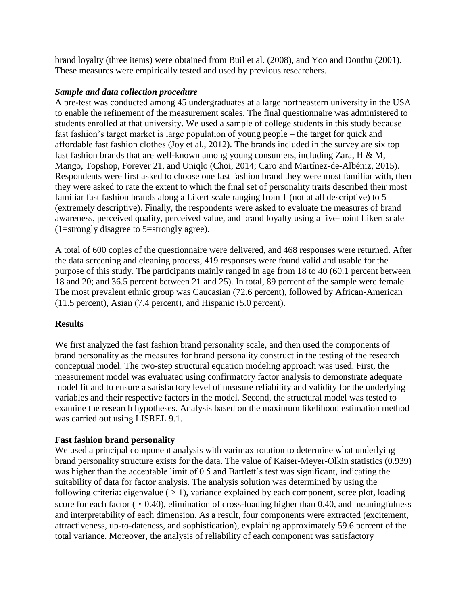brand loyalty (three items) were obtained from Buil et al. (2008), and Yoo and Donthu (2001). These measures were empirically tested and used by previous researchers.

## *Sample and data collection procedure*

A pre-test was conducted among 45 undergraduates at a large northeastern university in the USA to enable the refinement of the measurement scales. The final questionnaire was administered to students enrolled at that university. We used a sample of college students in this study because fast fashion's target market is large population of young people – the target for quick and affordable fast fashion clothes (Joy et al., 2012). The brands included in the survey are six top fast fashion brands that are well-known among young consumers, including Zara, H & M, Mango, Topshop, Forever 21, and Uniqlo (Choi, 2014; Caro and Martínez-de-Albéniz, 2015). Respondents were first asked to choose one fast fashion brand they were most familiar with, then they were asked to rate the extent to which the final set of personality traits described their most familiar fast fashion brands along a Likert scale ranging from 1 (not at all descriptive) to 5 (extremely descriptive). Finally, the respondents were asked to evaluate the measures of brand awareness, perceived quality, perceived value, and brand loyalty using a five-point Likert scale (1=strongly disagree to 5=strongly agree).

A total of 600 copies of the questionnaire were delivered, and 468 responses were returned. After the data screening and cleaning process, 419 responses were found valid and usable for the purpose of this study. The participants mainly ranged in age from 18 to 40 (60.1 percent between 18 and 20; and 36.5 percent between 21 and 25). In total, 89 percent of the sample were female. The most prevalent ethnic group was Caucasian (72.6 percent), followed by African-American (11.5 percent), Asian (7.4 percent), and Hispanic (5.0 percent).

# **Results**

We first analyzed the fast fashion brand personality scale, and then used the components of brand personality as the measures for brand personality construct in the testing of the research conceptual model. The two-step structural equation modeling approach was used. First, the measurement model was evaluated using confirmatory factor analysis to demonstrate adequate model fit and to ensure a satisfactory level of measure reliability and validity for the underlying variables and their respective factors in the model. Second, the structural model was tested to examine the research hypotheses. Analysis based on the maximum likelihood estimation method was carried out using LISREL 9.1.

# **Fast fashion brand personality**

We used a principal component analysis with varimax rotation to determine what underlying brand personality structure exists for the data. The value of Kaiser-Meyer-Olkin statistics (0.939) was higher than the acceptable limit of 0.5 and Bartlett's test was significant, indicating the suitability of data for factor analysis. The analysis solution was determined by using the following criteria: eigenvalue  $($  > 1), variance explained by each component, scree plot, loading score for each factor  $(0.40)$ , elimination of cross-loading higher than 0.40, and meaningfulness and interpretability of each dimension. As a result, four components were extracted (excitement, attractiveness, up-to-dateness, and sophistication), explaining approximately 59.6 percent of the total variance. Moreover, the analysis of reliability of each component was satisfactory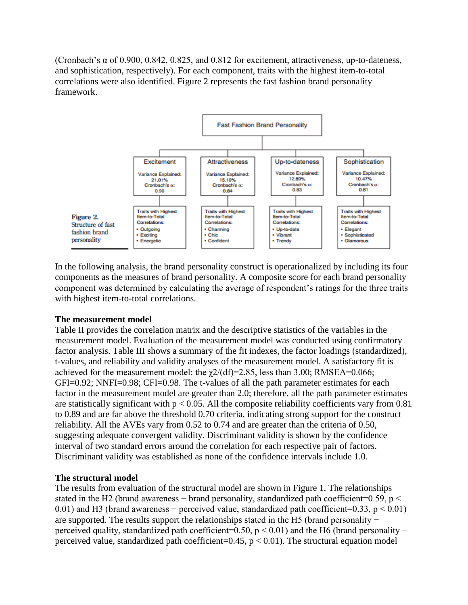(Cronbach's  $\alpha$  of 0.900, 0.842, 0.825, and 0.812 for excitement, attractiveness, up-to-dateness, and sophistication, respectively). For each component, traits with the highest item-to-total correlations were also identified. Figure 2 represents the fast fashion brand personality framework.



In the following analysis, the brand personality construct is operationalized by including its four components as the measures of brand personality. A composite score for each brand personality component was determined by calculating the average of respondent's ratings for the three traits with highest item-to-total correlations.

## **The measurement model**

Table II provides the correlation matrix and the descriptive statistics of the variables in the measurement model. Evaluation of the measurement model was conducted using confirmatory factor analysis. Table III shows a summary of the fit indexes, the factor loadings (standardized), t-values, and reliability and validity analyses of the measurement model. A satisfactory fit is achieved for the measurement model: the  $\chi$ 2/(df)=2.85, less than 3.00; RMSEA=0.066; GFI=0.92; NNFI=0.98; CFI=0.98. The t-values of all the path parameter estimates for each factor in the measurement model are greater than 2.0; therefore, all the path parameter estimates are statistically significant with  $p < 0.05$ . All the composite reliability coefficients vary from 0.81 to 0.89 and are far above the threshold 0.70 criteria, indicating strong support for the construct reliability. All the AVEs vary from 0.52 to 0.74 and are greater than the criteria of 0.50, suggesting adequate convergent validity. Discriminant validity is shown by the confidence interval of two standard errors around the correlation for each respective pair of factors. Discriminant validity was established as none of the confidence intervals include 1.0.

## **The structural model**

The results from evaluation of the structural model are shown in Figure 1. The relationships stated in the H2 (brand awareness – brand personality, standardized path coefficient=0.59,  $p <$ 0.01) and H3 (brand awareness − perceived value, standardized path coefficient=0.33, p < 0.01) are supported. The results support the relationships stated in the H5 (brand personality − perceived quality, standardized path coefficient=0.50,  $p < 0.01$ ) and the H6 (brand personality – perceived value, standardized path coefficient=0.45,  $p < 0.01$ ). The structural equation model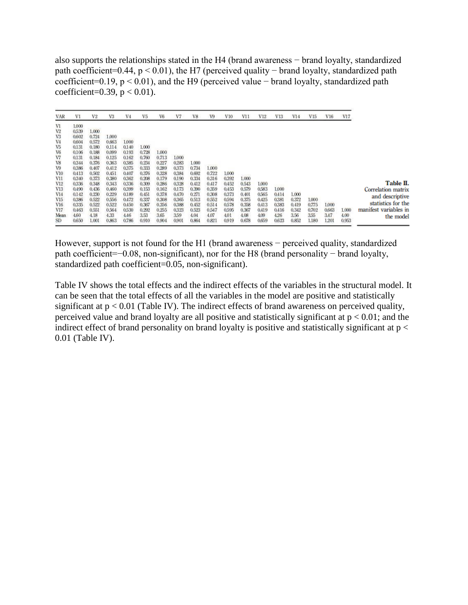also supports the relationships stated in the H4 (brand awareness − brand loyalty, standardized path coefficient=0.44, p < 0.01), the H7 (perceived quality − brand loyalty, standardized path coefficient=0.19, p < 0.01), and the H9 (perceived value − brand loyalty, standardized path coefficient=0.39,  $p < 0.01$ ).

| <b>VAR</b>     | V1    | V <sub>2</sub> | V3    | V <sub>4</sub> | V5    | V6    | V7    | V8    | V9    | V10   | V11   | V12   | V13   | V14   | V15   | V16   | V17   |                       |
|----------------|-------|----------------|-------|----------------|-------|-------|-------|-------|-------|-------|-------|-------|-------|-------|-------|-------|-------|-----------------------|
| V1             | 1.000 |                |       |                |       |       |       |       |       |       |       |       |       |       |       |       |       |                       |
| V2             | 0.539 | 1.000          |       |                |       |       |       |       |       |       |       |       |       |       |       |       |       |                       |
| V3             | 0.602 | 0.724          | 1.000 |                |       |       |       |       |       |       |       |       |       |       |       |       |       |                       |
| V <sub>4</sub> | 0.604 | 0.572          | 0.663 | 1,000          |       |       |       |       |       |       |       |       |       |       |       |       |       |                       |
| V5             | 0.131 | 0.180          | 0.114 | 0.140          | 1.000 |       |       |       |       |       |       |       |       |       |       |       |       |                       |
| V6             | 0.106 | 0.188          | 0.099 | 0.193          | 0.728 | 1.000 |       |       |       |       |       |       |       |       |       |       |       |                       |
| V7             | 0.131 | 0.184          | 0.125 | 0.162          | 0.760 | 0.713 | 1,000 |       |       |       |       |       |       |       |       |       |       |                       |
| V8             | 0.344 | 0.376          | 0.363 | 0.385          | 0.234 | 0.227 | 0.283 | 1.000 |       |       |       |       |       |       |       |       |       |                       |
| V9             | 0.386 | 0.407          | 0.412 | 0.375          | 0.333 | 0.289 | 0.373 | 0.734 | 1,000 |       |       |       |       |       |       |       |       |                       |
| V10            | 0.413 | 0.502          | 0.451 | 0.407          | 0.376 | 0.328 | 0.384 | 0.692 | 0.722 | 1,000 |       |       |       |       |       |       |       |                       |
| V11            | 0.340 | 0.373          | 0.380 | 0.362          | 0.208 | 0.179 | 0.190 | 0.334 | 0.316 | 0.392 | 1.000 |       |       |       |       |       |       |                       |
| V12            | 0,336 | 0.348          | 0.343 | 0.336          | 0.309 | 0.286 | 0.328 | 0.412 | 0.417 | 0.452 | 0.543 | 1,000 |       |       |       |       |       | Table II.             |
| V13            | 0.490 | 0.436          | 0.460 | 0.399          | 0.153 | 0.162 | 0.173 | 0.390 | 0.359 | 0.453 | 0.579 | 0.583 | 1,000 |       |       |       |       | Correlation matrix    |
| V14            | 0.142 | 0.230          | 0.229 | 0.189          | 0.451 | 0.378 | 0.470 | 0.271 | 0.308 | 0.373 | 0.401 | 0.565 | 0.414 | 1.000 |       |       |       | and descriptive       |
| V15            | 0,386 | 0.522          | 0.556 | 0.472          | 0.337 | 0.308 | 0.365 | 0.513 | 0.552 | 0.594 | 0.375 | 0.425 | 0.381 | 0.372 | 1,000 |       |       |                       |
| V16            | 0.335 | 0.522          | 0.522 | 0.450          | 0.367 | 0.356 | 0.388 | 0.452 | 0.514 | 0.578 | 0.358 | 0.413 | 0.383 | 0.419 | 0.775 | 1,000 |       | statistics for the    |
| V17            | 0.463 | 0.551          | 0.564 | 0.530          | 0.292 | 0.255 | 0.323 | 0.523 | 0.547 | 0.595 | 0.367 | 0.419 | 0.416 | 0.342 | 0.702 | 0.663 | 1.000 | manifest variables in |
| Mean           | 4,60  | 4.18           | 4.33  | 4.46           | 3.53  | 3.65  | 359   | 4.04  | 4.07  | 4.01  | 4.08  | 4.09  | 4.26  | 3.56  | 3.55  | 3.47  | 4.00  | the model             |
| SD.            | 0.650 | 1.001          | 0.863 | 0.786          | 0.910 | 0.904 | 0.901 | 0.864 | 0.821 | 0.919 | 0.678 | 0.659 | 0.623 | 0.852 | 1.180 | 1.201 | 0.953 |                       |

However, support is not found for the H1 (brand awareness − perceived quality, standardized path coefficient=−0.08, non-significant), nor for the H8 (brand personality − brand loyalty, standardized path coefficient=0.05, non-significant).

Table IV shows the total effects and the indirect effects of the variables in the structural model. It can be seen that the total effects of all the variables in the model are positive and statistically significant at p < 0.01 (Table IV). The indirect effects of brand awareness on perceived quality, perceived value and brand loyalty are all positive and statistically significant at  $p < 0.01$ ; and the indirect effect of brand personality on brand loyalty is positive and statistically significant at  $p <$ 0.01 (Table IV).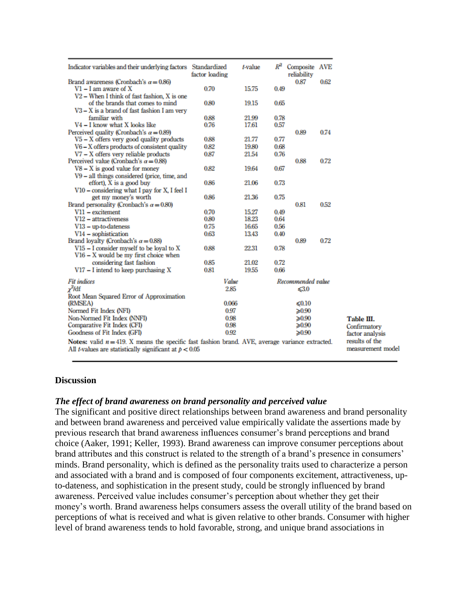| Indicator variables and their underlying factors Standardized                                                                                                          | factor loading | t-value | $R^2$ | Composite AVE<br>reliability |      |                                     |
|------------------------------------------------------------------------------------------------------------------------------------------------------------------------|----------------|---------|-------|------------------------------|------|-------------------------------------|
| Brand awareness (Cronbach's $\alpha = 0.86$ )                                                                                                                          |                |         |       | 0.87                         | 0.62 |                                     |
| $VI - I$ am aware of X                                                                                                                                                 | 0.70           | 15.75   | 0.49  |                              |      |                                     |
| $V2 -$ When I think of fast fashion, X is one                                                                                                                          |                |         |       |                              |      |                                     |
| of the brands that comes to mind                                                                                                                                       | 0.80           | 19.15   | 0.65  |                              |      |                                     |
| $V3 - X$ is a brand of fast fashion I am very                                                                                                                          |                |         |       |                              |      |                                     |
| familiar with                                                                                                                                                          | 0.88           | 21.99   | 0.78  |                              |      |                                     |
| V4 - I know what X looks like                                                                                                                                          | 0.76           | 17.61   | 0.57  |                              |      |                                     |
| Perceived quality (Cronbach's $\alpha = 0.89$ )                                                                                                                        |                |         |       | 0.89                         | 0.74 |                                     |
| $V5 - X$ offers very good quality products                                                                                                                             | 0.88           | 21.77   | 0.77  |                              |      |                                     |
| $V6 - X$ offers products of consistent quality                                                                                                                         | 0.82           | 19.80   | 0.68  |                              |      |                                     |
| V7 - X offers very reliable products                                                                                                                                   | 0.87           | 21.54   | 0.76  |                              |      |                                     |
| Perceived value (Cronbach's $\alpha = 0.88$ )                                                                                                                          |                |         |       | 0.88                         | 0.72 |                                     |
| $V8 - X$ is good value for money                                                                                                                                       | 0.82           | 19.64   | 0.67  |                              |      |                                     |
| V9 - all things considered (price, time, and                                                                                                                           |                |         |       |                              |      |                                     |
| effort), X is a good buy                                                                                                                                               | 0.86           | 21.06   | 0.73  |                              |      |                                     |
| V10 – considering what I pay for X, I feel I                                                                                                                           |                |         |       |                              |      |                                     |
| get my money's worth                                                                                                                                                   | 0.86           | 21.36   | 0.75  |                              |      |                                     |
| Brand personality (Cronbach's $\alpha = 0.80$ )                                                                                                                        |                |         |       | 0.81                         | 0.52 |                                     |
| $V11 - excitement$                                                                                                                                                     | 0.70           | 15.27   | 0.49  |                              |      |                                     |
| V12 - attractiveness                                                                                                                                                   | 0.80           | 18.23   | 0.64  |                              |      |                                     |
| $V13 - up-to-dateness$                                                                                                                                                 | 0.75           | 16.65   | 0.56  |                              |      |                                     |
| V <sub>14</sub> - sophistication                                                                                                                                       | 0.63           | 13.43   | 0.40  |                              |      |                                     |
| Brand loyalty (Cronbach's $\alpha = 0.88$ )                                                                                                                            |                |         |       | 0.89                         | 0.72 |                                     |
| $V15 - I$ consider myself to be loval to X                                                                                                                             | 0.88           | 22.31   | 0.78  |                              |      |                                     |
| $V16 - X$ would be my first choice when                                                                                                                                |                |         |       |                              |      |                                     |
| considering fast fashion                                                                                                                                               | 0.85           | 21.02   | 0.72  |                              |      |                                     |
| $V17 - I$ intend to keep purchasing X                                                                                                                                  | 0.81           | 19.55   | 0.66  |                              |      |                                     |
|                                                                                                                                                                        |                |         |       |                              |      |                                     |
| <b>Fit indices</b>                                                                                                                                                     | Value          |         |       | Recommended value            |      |                                     |
| $\chi^2$ /df                                                                                                                                                           | 2.85           |         |       | $\leq 3.0$                   |      |                                     |
| Root Mean Squared Error of Approximation                                                                                                                               |                |         |       |                              |      |                                     |
| (RMSEA)                                                                                                                                                                | 0.066          |         |       | ≤ $0.10$                     |      |                                     |
| Normed Fit Index (NFI)                                                                                                                                                 | 0.97           |         |       | $\geq 0.90$                  |      |                                     |
| Non-Normed Fit Index (NNFI)                                                                                                                                            | 0.98           |         |       | $\geq 0.90$                  |      | Table III.                          |
| Comparative Fit Index (CFI)                                                                                                                                            | 0.98           |         |       | $\geqslant 0.90$             |      | Confirmatory                        |
| Goodness of Fit Index (GFI)                                                                                                                                            | 0.92           |         |       | $\geqslant 0.90$             |      | factor analysis                     |
| Notes: valid $n = 419$ . X means the specific fast fashion brand. AVE, average variance extracted.<br>All <i>t</i> -values are statistically significant at $p < 0.05$ |                |         |       |                              |      | results of the<br>measurement model |

#### **Discussion**

#### *The effect of brand awareness on brand personality and perceived value*

The significant and positive direct relationships between brand awareness and brand personality and between brand awareness and perceived value empirically validate the assertions made by previous research that brand awareness influences consumer's brand perceptions and brand choice (Aaker, 1991; Keller, 1993). Brand awareness can improve consumer perceptions about brand attributes and this construct is related to the strength of a brand's presence in consumers' minds. Brand personality, which is defined as the personality traits used to characterize a person and associated with a brand and is composed of four components excitement, attractiveness, upto-dateness, and sophistication in the present study, could be strongly influenced by brand awareness. Perceived value includes consumer's perception about whether they get their money's worth. Brand awareness helps consumers assess the overall utility of the brand based on perceptions of what is received and what is given relative to other brands. Consumer with higher level of brand awareness tends to hold favorable, strong, and unique brand associations in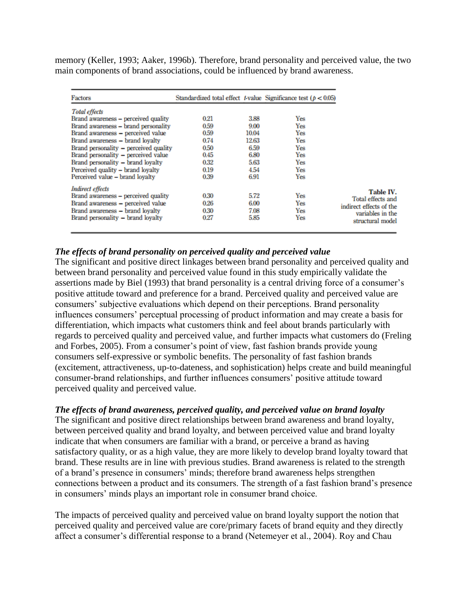memory (Keller, 1993; Aaker, 1996b). Therefore, brand personality and perceived value, the two main components of brand associations, could be influenced by brand awareness.

| Factors                                                                                                                                                                                   |                                      |                                      | Standardized total effect t-value Significance test ( $p < 0.05$ ) |                                                                                                   |
|-------------------------------------------------------------------------------------------------------------------------------------------------------------------------------------------|--------------------------------------|--------------------------------------|--------------------------------------------------------------------|---------------------------------------------------------------------------------------------------|
| <b>Total effects</b><br>Brand awareness – perceived quality<br>Brand awareness - brand personality<br>Brand awareness - perceived value<br>Brand awareness - brand lovalty                | 0.21<br>0.59<br>0.59<br>0.74         | 3.88<br>9.00<br>10.04<br>12.63       | Yes<br>Yes<br>Yes<br>Yes                                           |                                                                                                   |
| Brand personality - perceived quality<br>Brand personality - perceived value<br>Brand personality - brand lovalty<br>Perceived quality - brand lovalty<br>Perceived value - brand loyalty | 0.50<br>0.45<br>0.32<br>0.19<br>0.39 | 6.59<br>6.80<br>5.63<br>4.54<br>6.91 | <b>Yes</b><br>Yes<br><b>Yes</b><br>Yes<br>Yes                      |                                                                                                   |
| <b>Indirect effects</b><br>Brand awareness - perceived quality<br>Brand awareness - perceived value<br>Brand awareness - brand lovalty<br>Brand personality – brand loyalty               | 0.30<br>0.26<br>0.30<br>0.27         | 5.72<br>6.00<br>7.08<br>5.85         | Yes<br>Yes<br>Yes<br><b>Yes</b>                                    | Table IV.<br>Total effects and<br>indirect effects of the<br>variables in the<br>structural model |

## *The effects of brand personality on perceived quality and perceived value*

The significant and positive direct linkages between brand personality and perceived quality and between brand personality and perceived value found in this study empirically validate the assertions made by Biel (1993) that brand personality is a central driving force of a consumer's positive attitude toward and preference for a brand. Perceived quality and perceived value are consumers' subjective evaluations which depend on their perceptions. Brand personality influences consumers' perceptual processing of product information and may create a basis for differentiation, which impacts what customers think and feel about brands particularly with regards to perceived quality and perceived value, and further impacts what customers do (Freling and Forbes, 2005). From a consumer's point of view, fast fashion brands provide young consumers self-expressive or symbolic benefits. The personality of fast fashion brands (excitement, attractiveness, up-to-dateness, and sophistication) helps create and build meaningful consumer-brand relationships, and further influences consumers' positive attitude toward perceived quality and perceived value.

## *The effects of brand awareness, perceived quality, and perceived value on brand loyalty*

The significant and positive direct relationships between brand awareness and brand loyalty, between perceived quality and brand loyalty, and between perceived value and brand loyalty indicate that when consumers are familiar with a brand, or perceive a brand as having satisfactory quality, or as a high value, they are more likely to develop brand loyalty toward that brand. These results are in line with previous studies. Brand awareness is related to the strength of a brand's presence in consumers' minds; therefore brand awareness helps strengthen connections between a product and its consumers. The strength of a fast fashion brand's presence in consumers' minds plays an important role in consumer brand choice.

The impacts of perceived quality and perceived value on brand loyalty support the notion that perceived quality and perceived value are core/primary facets of brand equity and they directly affect a consumer's differential response to a brand (Netemeyer et al., 2004). Roy and Chau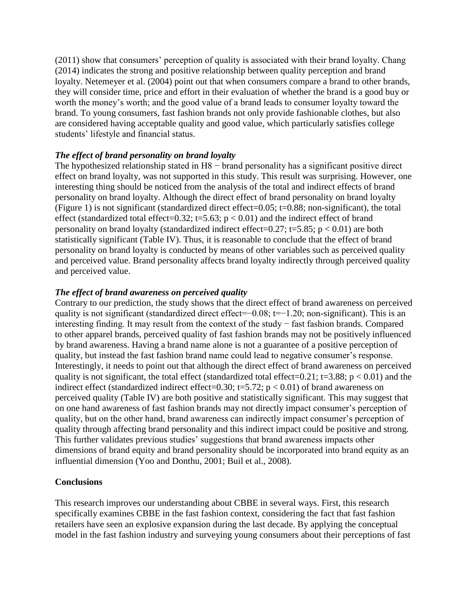(2011) show that consumers' perception of quality is associated with their brand loyalty. Chang (2014) indicates the strong and positive relationship between quality perception and brand loyalty. Netemeyer et al. (2004) point out that when consumers compare a brand to other brands, they will consider time, price and effort in their evaluation of whether the brand is a good buy or worth the money's worth; and the good value of a brand leads to consumer loyalty toward the brand. To young consumers, fast fashion brands not only provide fashionable clothes, but also are considered having acceptable quality and good value, which particularly satisfies college students' lifestyle and financial status.

## *The effect of brand personality on brand loyalty*

The hypothesized relationship stated in H8 – brand personality has a significant positive direct effect on brand loyalty, was not supported in this study. This result was surprising. However, one interesting thing should be noticed from the analysis of the total and indirect effects of brand personality on brand loyalty. Although the direct effect of brand personality on brand loyalty (Figure 1) is not significant (standardized direct effect=0.05; t=0.88; non-significant), the total effect (standardized total effect=0.32; t=5.63;  $p < 0.01$ ) and the indirect effect of brand personality on brand loyalty (standardized indirect effect=0.27; t=5.85;  $p < 0.01$ ) are both statistically significant (Table IV). Thus, it is reasonable to conclude that the effect of brand personality on brand loyalty is conducted by means of other variables such as perceived quality and perceived value. Brand personality affects brand loyalty indirectly through perceived quality and perceived value.

## *The effect of brand awareness on perceived quality*

Contrary to our prediction, the study shows that the direct effect of brand awareness on perceived quality is not significant (standardized direct effect=−0.08; t=−1.20; non-significant). This is an interesting finding. It may result from the context of the study − fast fashion brands. Compared to other apparel brands, perceived quality of fast fashion brands may not be positively influenced by brand awareness. Having a brand name alone is not a guarantee of a positive perception of quality, but instead the fast fashion brand name could lead to negative consumer's response. Interestingly, it needs to point out that although the direct effect of brand awareness on perceived quality is not significant, the total effect (standardized total effect=0.21; t=3.88;  $p < 0.01$ ) and the indirect effect (standardized indirect effect=0.30; t=5.72;  $p < 0.01$ ) of brand awareness on perceived quality (Table IV) are both positive and statistically significant. This may suggest that on one hand awareness of fast fashion brands may not directly impact consumer's perception of quality, but on the other hand, brand awareness can indirectly impact consumer's perception of quality through affecting brand personality and this indirect impact could be positive and strong. This further validates previous studies' suggestions that brand awareness impacts other dimensions of brand equity and brand personality should be incorporated into brand equity as an influential dimension (Yoo and Donthu, 2001; Buil et al., 2008).

## **Conclusions**

This research improves our understanding about CBBE in several ways. First, this research specifically examines CBBE in the fast fashion context, considering the fact that fast fashion retailers have seen an explosive expansion during the last decade. By applying the conceptual model in the fast fashion industry and surveying young consumers about their perceptions of fast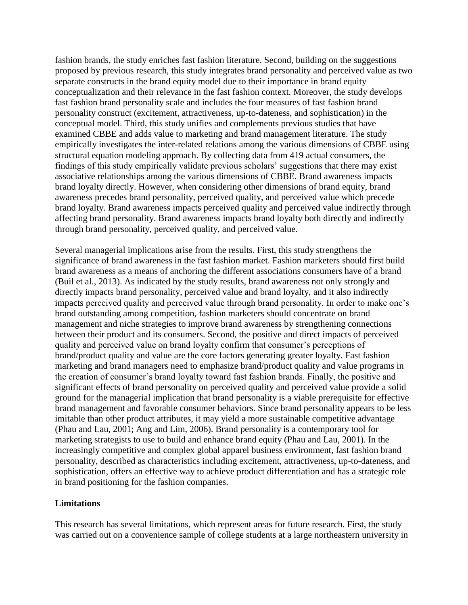fashion brands, the study enriches fast fashion literature. Second, building on the suggestions proposed by previous research, this study integrates brand personality and perceived value as two separate constructs in the brand equity model due to their importance in brand equity conceptualization and their relevance in the fast fashion context. Moreover, the study develops fast fashion brand personality scale and includes the four measures of fast fashion brand personality construct (excitement, attractiveness, up-to-dateness, and sophistication) in the conceptual model. Third, this study unifies and complements previous studies that have examined CBBE and adds value to marketing and brand management literature. The study empirically investigates the inter-related relations among the various dimensions of CBBE using structural equation modeling approach. By collecting data from 419 actual consumers, the findings of this study empirically validate previous scholars' suggestions that there may exist associative relationships among the various dimensions of CBBE. Brand awareness impacts brand loyalty directly. However, when considering other dimensions of brand equity, brand awareness precedes brand personality, perceived quality, and perceived value which precede brand loyalty. Brand awareness impacts perceived quality and perceived value indirectly through affecting brand personality. Brand awareness impacts brand loyalty both directly and indirectly through brand personality, perceived quality, and perceived value.

Several managerial implications arise from the results. First, this study strengthens the significance of brand awareness in the fast fashion market. Fashion marketers should first build brand awareness as a means of anchoring the different associations consumers have of a brand (Buil et al., 2013). As indicated by the study results, brand awareness not only strongly and directly impacts brand personality, perceived value and brand loyalty, and it also indirectly impacts perceived quality and perceived value through brand personality. In order to make one's brand outstanding among competition, fashion marketers should concentrate on brand management and niche strategies to improve brand awareness by strengthening connections between their product and its consumers. Second, the positive and direct impacts of perceived quality and perceived value on brand loyalty confirm that consumer's perceptions of brand/product quality and value are the core factors generating greater loyalty. Fast fashion marketing and brand managers need to emphasize brand/product quality and value programs in the creation of consumer's brand loyalty toward fast fashion brands. Finally, the positive and significant effects of brand personality on perceived quality and perceived value provide a solid ground for the managerial implication that brand personality is a viable prerequisite for effective brand management and favorable consumer behaviors. Since brand personality appears to be less imitable than other product attributes, it may yield a more sustainable competitive advantage (Phau and Lau, 2001; Ang and Lim, 2006). Brand personality is a contemporary tool for marketing strategists to use to build and enhance brand equity (Phau and Lau, 2001). In the increasingly competitive and complex global apparel business environment, fast fashion brand personality, described as characteristics including excitement, attractiveness, up-to-dateness, and sophistication, offers an effective way to achieve product differentiation and has a strategic role in brand positioning for the fashion companies.

## **Limitations**

This research has several limitations, which represent areas for future research. First, the study was carried out on a convenience sample of college students at a large northeastern university in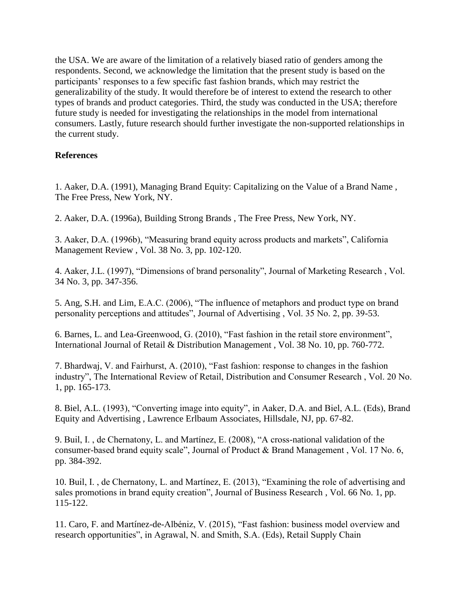the USA. We are aware of the limitation of a relatively biased ratio of genders among the respondents. Second, we acknowledge the limitation that the present study is based on the participants' responses to a few specific fast fashion brands, which may restrict the generalizability of the study. It would therefore be of interest to extend the research to other types of brands and product categories. Third, the study was conducted in the USA; therefore future study is needed for investigating the relationships in the model from international consumers. Lastly, future research should further investigate the non-supported relationships in the current study.

# **References**

1. Aaker, D.A. (1991), Managing Brand Equity: Capitalizing on the Value of a Brand Name , The Free Press, New York, NY.

2. Aaker, D.A. (1996a), Building Strong Brands , The Free Press, New York, NY.

3. Aaker, D.A. (1996b), "Measuring brand equity across products and markets", California Management Review , Vol. 38 No. 3, pp. 102-120.

4. Aaker, J.L. (1997), "Dimensions of brand personality", Journal of Marketing Research , Vol. 34 No. 3, pp. 347-356.

5. Ang, S.H. and Lim, E.A.C. (2006), "The influence of metaphors and product type on brand personality perceptions and attitudes", Journal of Advertising , Vol. 35 No. 2, pp. 39-53.

6. Barnes, L. and Lea-Greenwood, G. (2010), "Fast fashion in the retail store environment", International Journal of Retail & Distribution Management , Vol. 38 No. 10, pp. 760-772.

7. Bhardwaj, V. and Fairhurst, A. (2010), "Fast fashion: response to changes in the fashion industry", The International Review of Retail, Distribution and Consumer Research , Vol. 20 No. 1, pp. 165-173.

8. Biel, A.L. (1993), "Converting image into equity", in Aaker, D.A. and Biel, A.L. (Eds), Brand Equity and Advertising , Lawrence Erlbaum Associates, Hillsdale, NJ, pp. 67-82.

9. Buil, I. , de Chernatony, L. and Martínez, E. (2008), "A cross-national validation of the consumer-based brand equity scale", Journal of Product & Brand Management , Vol. 17 No. 6, pp. 384-392.

10. Buil, I. , de Chernatony, L. and Martínez, E. (2013), "Examining the role of advertising and sales promotions in brand equity creation", Journal of Business Research , Vol. 66 No. 1, pp. 115-122.

11. Caro, F. and Martínez-de-Albéniz, V. (2015), "Fast fashion: business model overview and research opportunities", in Agrawal, N. and Smith, S.A. (Eds), Retail Supply Chain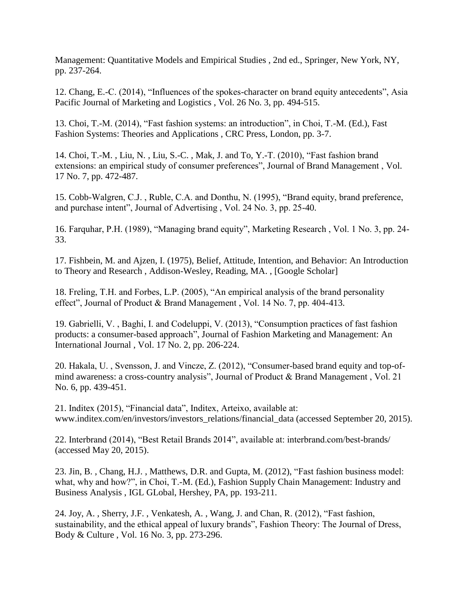Management: Quantitative Models and Empirical Studies , 2nd ed., Springer, New York, NY, pp. 237-264.

12. Chang, E.-C. (2014), "Influences of the spokes-character on brand equity antecedents", Asia Pacific Journal of Marketing and Logistics , Vol. 26 No. 3, pp. 494-515.

13. Choi, T.-M. (2014), "Fast fashion systems: an introduction", in Choi, T.-M. (Ed.), Fast Fashion Systems: Theories and Applications , CRC Press, London, pp. 3-7.

14. Choi, T.-M. , Liu, N. , Liu, S.-C. , Mak, J. and To, Y.-T. (2010), "Fast fashion brand extensions: an empirical study of consumer preferences", Journal of Brand Management , Vol. 17 No. 7, pp. 472-487.

15. Cobb-Walgren, C.J. , Ruble, C.A. and Donthu, N. (1995), "Brand equity, brand preference, and purchase intent", Journal of Advertising , Vol. 24 No. 3, pp. 25-40.

16. Farquhar, P.H. (1989), "Managing brand equity", Marketing Research , Vol. 1 No. 3, pp. 24- 33.

17. Fishbein, M. and Ajzen, I. (1975), Belief, Attitude, Intention, and Behavior: An Introduction to Theory and Research , Addison-Wesley, Reading, MA. , [Google Scholar]

18. Freling, T.H. and Forbes, L.P. (2005), "An empirical analysis of the brand personality effect", Journal of Product & Brand Management , Vol. 14 No. 7, pp. 404-413.

19. Gabrielli, V. , Baghi, I. and Codeluppi, V. (2013), "Consumption practices of fast fashion products: a consumer-based approach", Journal of Fashion Marketing and Management: An International Journal , Vol. 17 No. 2, pp. 206-224.

20. Hakala, U. , Svensson, J. and Vincze, Z. (2012), "Consumer-based brand equity and top-ofmind awareness: a cross-country analysis", Journal of Product & Brand Management , Vol. 21 No. 6, pp. 439-451.

21. Inditex (2015), "Financial data", Inditex, Arteixo, available at: www.inditex.com/en/investors/investors\_relations/financial\_data (accessed September 20, 2015).

22. Interbrand (2014), "Best Retail Brands 2014", available at: interbrand.com/best-brands/ (accessed May 20, 2015).

23. Jin, B. , Chang, H.J. , Matthews, D.R. and Gupta, M. (2012), "Fast fashion business model: what, why and how?", in Choi, T.-M. (Ed.), Fashion Supply Chain Management: Industry and Business Analysis , IGL GLobal, Hershey, PA, pp. 193-211.

24. Joy, A. , Sherry, J.F. , Venkatesh, A. , Wang, J. and Chan, R. (2012), "Fast fashion, sustainability, and the ethical appeal of luxury brands", Fashion Theory: The Journal of Dress, Body & Culture , Vol. 16 No. 3, pp. 273-296.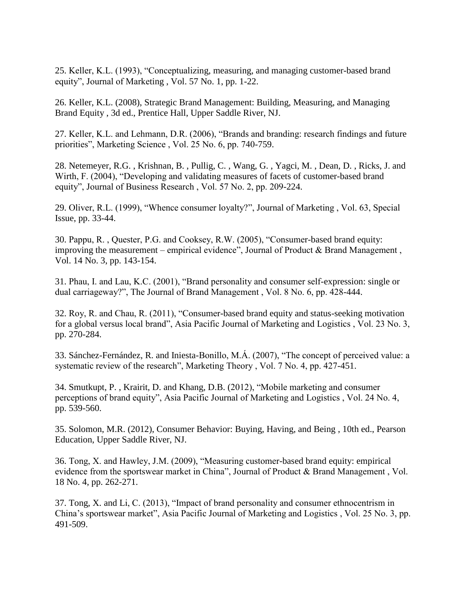25. Keller, K.L. (1993), "Conceptualizing, measuring, and managing customer-based brand equity", Journal of Marketing , Vol. 57 No. 1, pp. 1-22.

26. Keller, K.L. (2008), Strategic Brand Management: Building, Measuring, and Managing Brand Equity , 3d ed., Prentice Hall, Upper Saddle River, NJ.

27. Keller, K.L. and Lehmann, D.R. (2006), "Brands and branding: research findings and future priorities", Marketing Science , Vol. 25 No. 6, pp. 740-759.

28. Netemeyer, R.G. , Krishnan, B. , Pullig, C. , Wang, G. , Yagci, M. , Dean, D. , Ricks, J. and Wirth, F. (2004), "Developing and validating measures of facets of customer-based brand equity", Journal of Business Research , Vol. 57 No. 2, pp. 209-224.

29. Oliver, R.L. (1999), "Whence consumer loyalty?", Journal of Marketing , Vol. 63, Special Issue, pp. 33-44.

30. Pappu, R. , Quester, P.G. and Cooksey, R.W. (2005), "Consumer-based brand equity: improving the measurement – empirical evidence", Journal of Product & Brand Management, Vol. 14 No. 3, pp. 143-154.

31. Phau, I. and Lau, K.C. (2001), "Brand personality and consumer self-expression: single or dual carriageway?", The Journal of Brand Management , Vol. 8 No. 6, pp. 428-444.

32. Roy, R. and Chau, R. (2011), "Consumer-based brand equity and status-seeking motivation for a global versus local brand", Asia Pacific Journal of Marketing and Logistics , Vol. 23 No. 3, pp. 270-284.

33. Sánchez-Fernández, R. and Iniesta-Bonillo, M.Á. (2007), "The concept of perceived value: a systematic review of the research", Marketing Theory , Vol. 7 No. 4, pp. 427-451.

34. Smutkupt, P. , Krairit, D. and Khang, D.B. (2012), "Mobile marketing and consumer perceptions of brand equity", Asia Pacific Journal of Marketing and Logistics , Vol. 24 No. 4, pp. 539-560.

35. Solomon, M.R. (2012), Consumer Behavior: Buying, Having, and Being , 10th ed., Pearson Education, Upper Saddle River, NJ.

36. Tong, X. and Hawley, J.M. (2009), "Measuring customer-based brand equity: empirical evidence from the sportswear market in China", Journal of Product & Brand Management , Vol. 18 No. 4, pp. 262-271.

37. Tong, X. and Li, C. (2013), "Impact of brand personality and consumer ethnocentrism in China's sportswear market", Asia Pacific Journal of Marketing and Logistics , Vol. 25 No. 3, pp. 491-509.